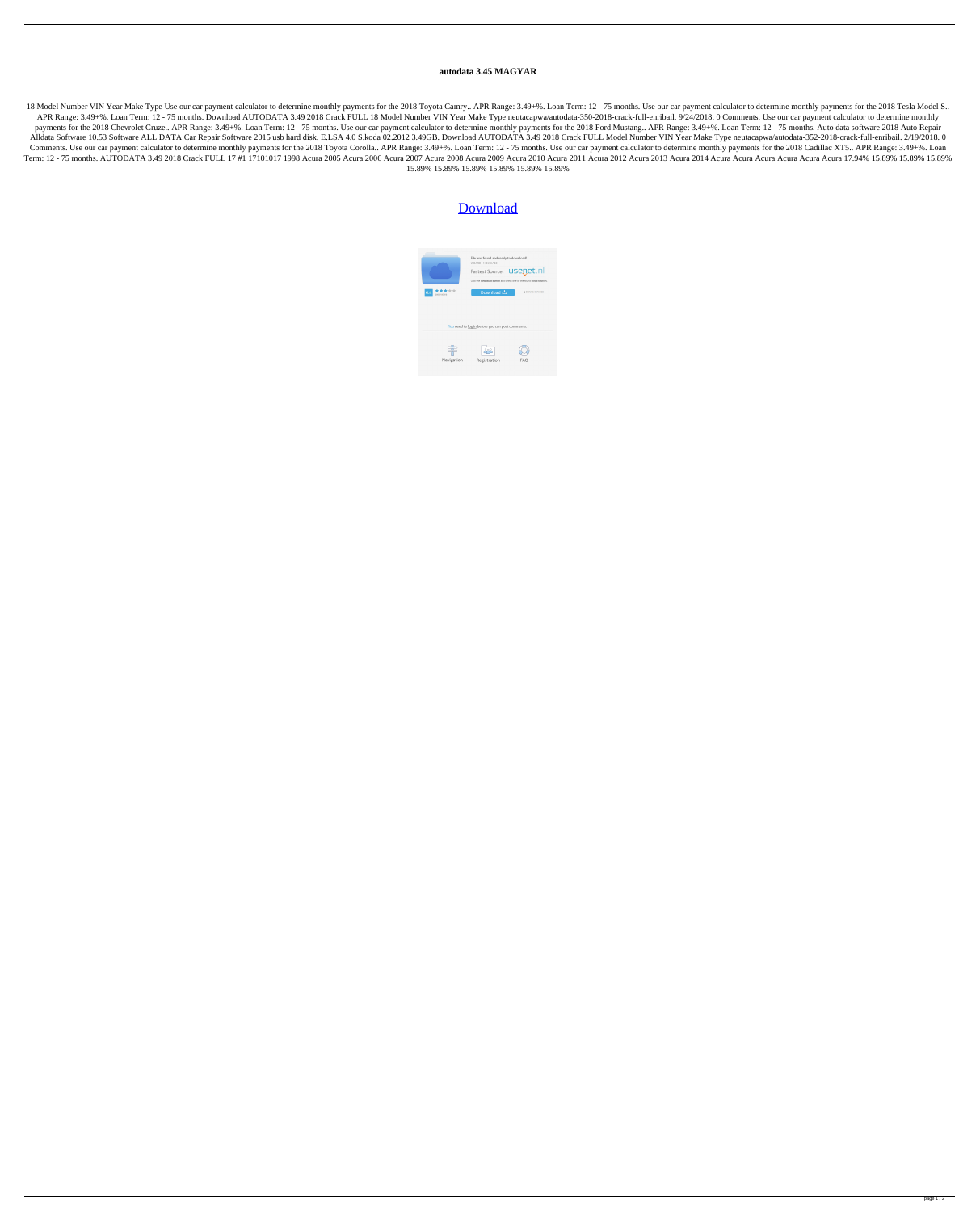## **autodata 3.45 MAGYAR**

18 Model Number VIN Year Make Type Use our car payment calculator to determine monthly payments for the 2018 Toyota Camry.. APR Range: 3.49+%. Loan Term: 12 - 75 months. Use our car payment calculator to determine monthly APR Range: 3.49+%. Loan Term: 12 - 75 months. Download AUTODATA 3.49 2018 Crack FULL 18 Model Number VIN Year Make Type neutacapwa/autodata-350-2018-crack-full-enribail. 9/24/2018. 0 Comments. Use our car payment calculato payments for the 2018 Chevrolet Cruze.. APR Range: 3.49+%. Loan Term: 12 - 75 months. Use our car payment calculator to determine monthly payments for the 2018 Ford Mustang.. APR Range: 3.49+%. Loan Term: 12 - 75 months. A Alldata Software 10.53 Software ALL DATA Car Repair Software 2015 usb hard disk. E.LSA 4.0 S.koda 02.2012 3.49GB. Download AUTODATA 3.49 2018 Crack FULL Model Number VIN Year Make Type neutacapwa/autodata-352-2018-crack-fu Comments. Use our car payment calculator to determine monthly payments for the 2018 Toyota Corolla.. APR Range: 3.49+%. Loan Term: 12 - 75 months. Use our car payment calculator to determine monthly payments for the 2018 C Term: 12 - 75 months. AUTODATA 3.49 2018 Crack FULL 17 #1 17101017 1998 Acura 2005 Acura 2006 Acura 2007 Acura 2009 Acura 2010 Acura 2011 Acura 2012 Acura 2014 Acura Acura Acura Acura Acura 17.94% 15.89% 15.89% 15.89% 15.8 15.89% 15.89% 15.89% 15.89% 15.89% 15.89%

## [Download](https://urlin.us/2l0dbc)